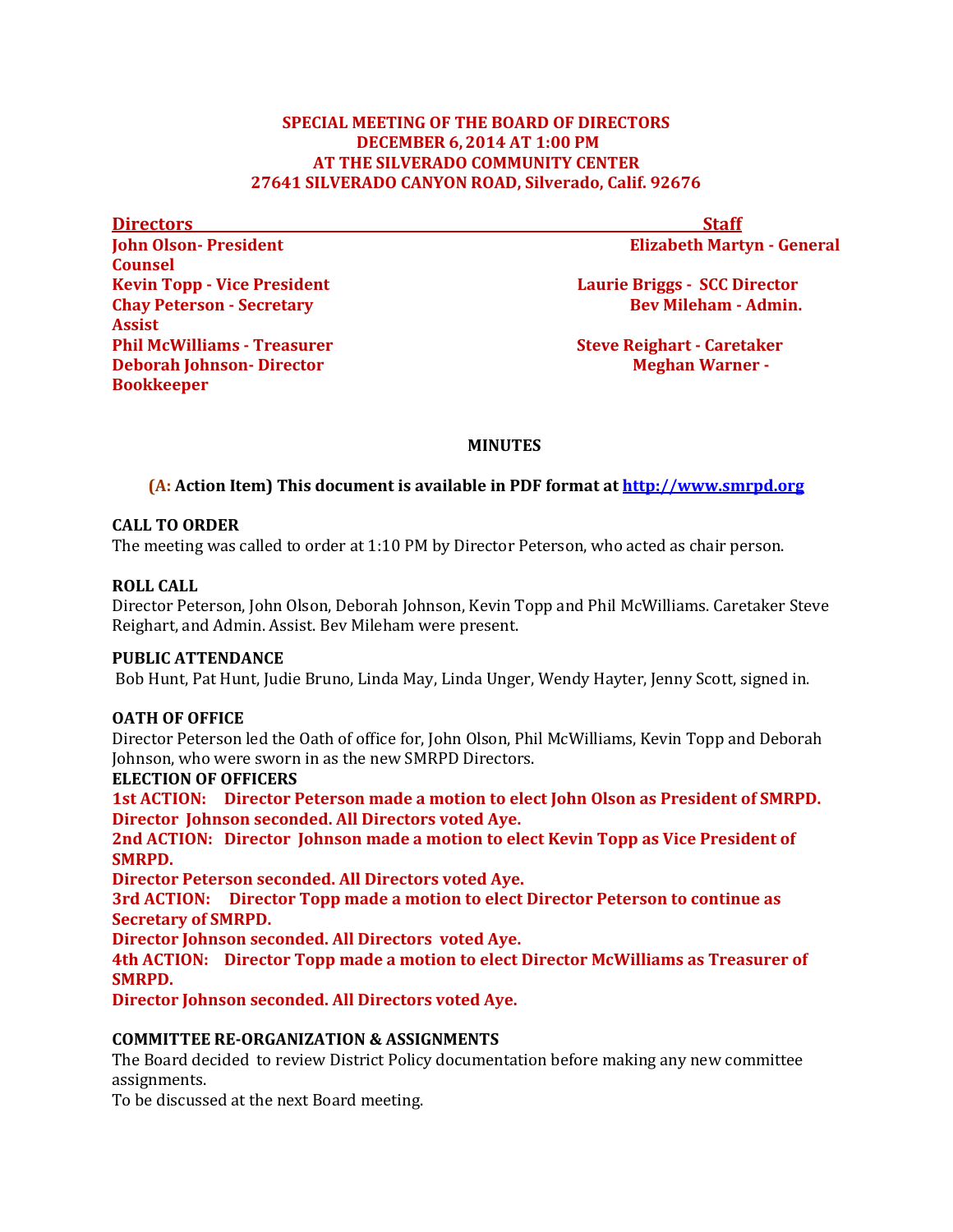## **SPECIAL MEETING OF THE BOARD OF DIRECTORS DECEMBER 6,2014 AT 1:00 PM AT THE SILVERADO COMMUNITY CENTER 27641 SILVERADO CANYON ROAD, Silverado, Calif. 92676**

**Directors** Staff

**John Olson-President Elizabeth Martyn - General** 

**Kevin Topp - Vice President Laurie Briggs - SCC Director Contract Arizon Arizon Contract Arizon Arizon Arizon Arizon Arizon Arizon Arizon Arizon Arizon Arizon Arizon Arizon Arizon Arizon Arizon Arizon Arizon Arizon Arizon Chay Peterson - Secretary Admin. Bev Mileham - Admin. Bev Mileham - Admin.** 

**Phil McWilliams - Treasurer Steve Reighart - Caretaker Deborah Johnson-Director Meghan Warner -**

# **MINUTES**

# **(A: Action Item) This document is available in PDF format at [http://www.smrpd.org](http://www.smrpd.org/)**

## **CALL TO ORDER**

The meeting was called to order at 1:10 PM by Director Peterson, who acted as chair person.

### **ROLL CALL**

**Counsel** 

**Assist**

**Bookkeeper**

Director Peterson, John Olson, Deborah Johnson, Kevin Topp and Phil McWilliams. Caretaker Steve Reighart, and Admin. Assist. Bev Mileham were present.

### **PUBLIC ATTENDANCE**

Bob Hunt, Pat Hunt, Judie Bruno, Linda May, Linda Unger, Wendy Hayter, Jenny Scott, signed in.

## **OATH OF OFFICE**

Director Peterson led the Oath of office for, John Olson, Phil McWilliams, Kevin Topp and Deborah Johnson, who were sworn in as the new SMRPD Directors.

#### **ELECTION OF OFFICERS**

**1st ACTION: Director Peterson made a motion to elect John Olson as President of SMRPD. Director Johnson seconded. All Directors voted Aye.**

**2nd ACTION: Director Johnson made a motion to elect Kevin Topp as Vice President of SMRPD.**

**Director Peterson seconded. All Directors voted Aye.**

**3rd ACTION: Director Topp made a motion to elect Director Peterson to continue as Secretary of SMRPD.**

**Director Johnson seconded. All Directors voted Aye.**

**4th ACTION: Director Topp made a motion to elect Director McWilliams as Treasurer of SMRPD.**

**Director Johnson seconded. All Directors voted Aye.** 

## **COMMITTEE RE-ORGANIZATION & ASSIGNMENTS**

The Board decided to review District Policy documentation before making any new committee assignments.

To be discussed at the next Board meeting.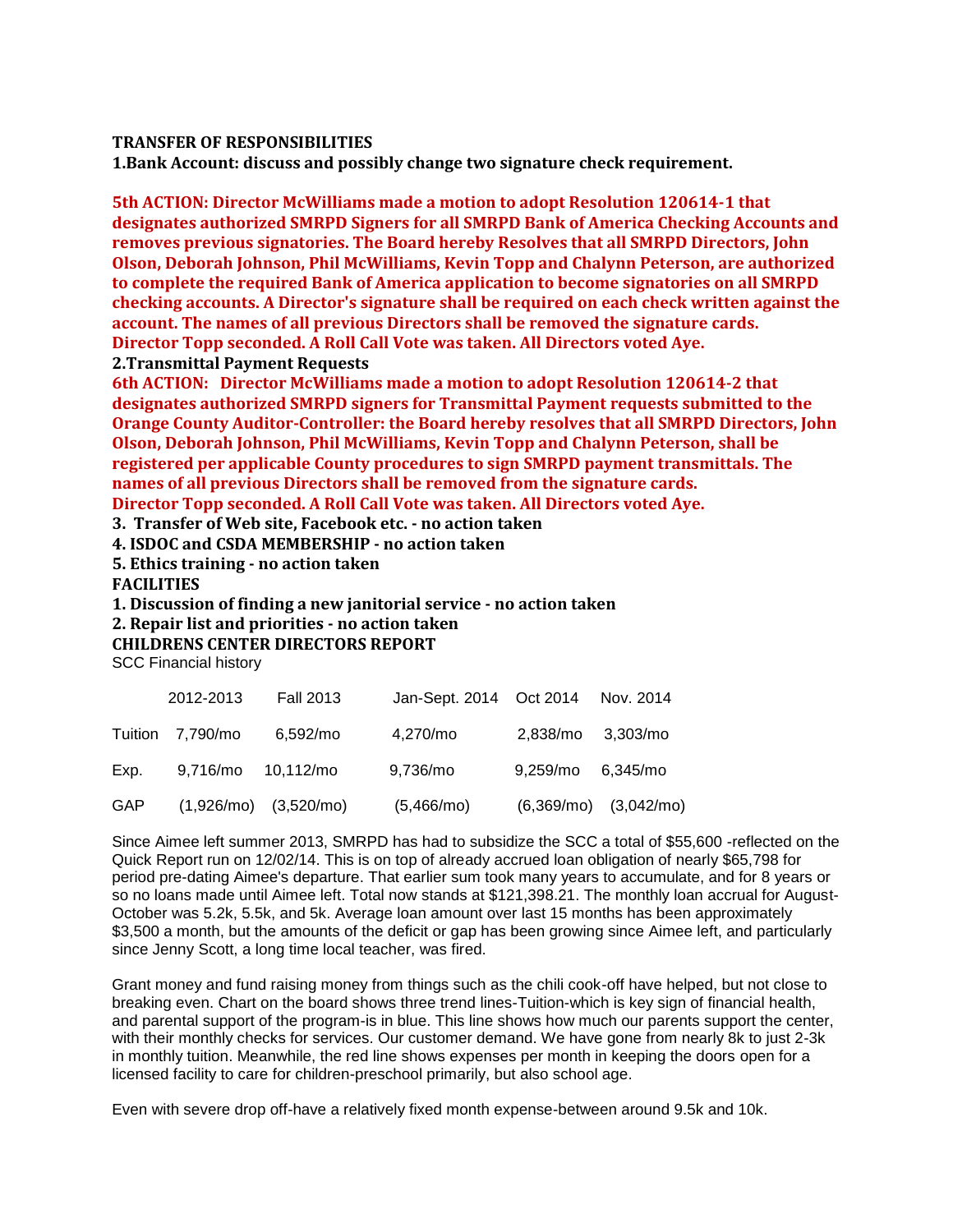#### **TRANSFER OF RESPONSIBILITIES**

**1.Bank Account: discuss and possibly change two signature check requirement.**

**5th ACTION: Director McWilliams made a motion to adopt Resolution 120614-1 that designates authorized SMRPD Signers for all SMRPD Bank of America Checking Accounts and removes previous signatories. The Board hereby Resolves that all SMRPD Directors, John Olson, Deborah Johnson, Phil McWilliams, Kevin Topp and Chalynn Peterson, are authorized to complete the required Bank of America application to become signatories on all SMRPD checking accounts. A Director's signature shall be required on each check written against the account. The names of all previous Directors shall be removed the signature cards. Director Topp seconded. A Roll Call Vote was taken. All Directors voted Aye. 2.Transmittal Payment Requests**

**6th ACTION: Director McWilliams made a motion to adopt Resolution 120614-2 that designates authorized SMRPD signers for Transmittal Payment requests submitted to the Orange County Auditor-Controller: the Board hereby resolves that all SMRPD Directors, John Olson, Deborah Johnson, Phil McWilliams, Kevin Topp and Chalynn Peterson, shall be registered per applicable County procedures to sign SMRPD payment transmittals. The names of all previous Directors shall be removed from the signature cards. Director Topp seconded. A Roll Call Vote was taken. All Directors voted Aye.**

**3. Transfer of Web site, Facebook etc. - no action taken**

**4. ISDOC and CSDA MEMBERSHIP - no action taken**

**5. Ethics training - no action taken**

**FACILITIES**

**1. Discussion of finding a new janitorial service - no action taken**

**2. Repair list and priorities - no action taken**

**CHILDRENS CENTER DIRECTORS REPORT**

SCC Financial history

|            | 2012-2013          | <b>Fall 2013</b>            | Jan-Sept. 2014    Oct 2014    Nov. 2014 |                   |                           |
|------------|--------------------|-----------------------------|-----------------------------------------|-------------------|---------------------------|
|            | Tuition 7,790/mo   | 6,592/mo                    | 4,270/mo                                | 2,838/mo 3,303/mo |                           |
| Exp.       | 9,716/mo 10,112/mo |                             | 9,736/mo                                | 9,259/mo 6,345/mo |                           |
| <b>GAP</b> |                    | $(1,926/mol)$ $(3,520/mol)$ | (5,466/mo)                              |                   | $(6,369/mo)$ $(3,042/mo)$ |

Since Aimee left summer 2013, SMRPD has had to subsidize the SCC a total of \$55,600 -reflected on the Quick Report run on 12/02/14. This is on top of already accrued loan obligation of nearly \$65,798 for period pre-dating Aimee's departure. That earlier sum took many years to accumulate, and for 8 years or so no loans made until Aimee left. Total now stands at \$121,398.21. The monthly loan accrual for August-October was 5.2k, 5.5k, and 5k. Average loan amount over last 15 months has been approximately \$3,500 a month, but the amounts of the deficit or gap has been growing since Aimee left, and particularly since Jenny Scott, a long time local teacher, was fired.

Grant money and fund raising money from things such as the chili cook-off have helped, but not close to breaking even. Chart on the board shows three trend lines-Tuition-which is key sign of financial health, and parental support of the program-is in blue. This line shows how much our parents support the center, with their monthly checks for services. Our customer demand. We have gone from nearly 8k to just 2-3k in monthly tuition. Meanwhile, the red line shows expenses per month in keeping the doors open for a licensed facility to care for children-preschool primarily, but also school age.

Even with severe drop off-have a relatively fixed month expense-between around 9.5k and 10k.